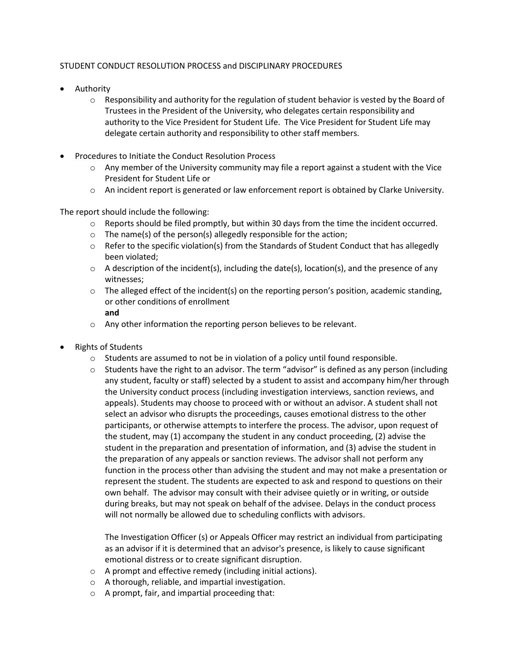## STUDENT CONDUCT RESOLUTION PROCESS and DISCIPLINARY PROCEDURES

- Authority
	- $\circ$  Responsibility and authority for the regulation of student behavior is vested by the Board of Trustees in the President of the University, who delegates certain responsibility and authority to the Vice President for Student Life. The Vice President for Student Life may delegate certain authority and responsibility to other staff members.
- Procedures to Initiate the Conduct Resolution Process
	- $\circ$  Any member of the University community may file a report against a student with the Vice President for Student Life or
	- o An incident report is generated or law enforcement report is obtained by Clarke University.

The report should include the following:

- o Reports should be filed promptly, but within 30 days from the time the incident occurred.
- $\circ$  The name(s) of the person(s) allegedly responsible for the action;
- $\circ$  Refer to the specific violation(s) from the Standards of Student Conduct that has allegedly been violated;
- $\circ$  A description of the incident(s), including the date(s), location(s), and the presence of any witnesses;
- $\circ$  The alleged effect of the incident(s) on the reporting person's position, academic standing, or other conditions of enrollment **and**
- o Any other information the reporting person believes to be relevant.
- Rights of Students
	- $\circ$  Students are assumed to not be in violation of a policy until found responsible.
	- $\circ$  Students have the right to an advisor. The term "advisor" is defined as any person (including any student, faculty or staff) selected by a student to assist and accompany him/her through the University conduct process (including investigation interviews, sanction reviews, and appeals). Students may choose to proceed with or without an advisor. A student shall not select an advisor who disrupts the proceedings, causes emotional distress to the other participants, or otherwise attempts to interfere the process. The advisor, upon request of the student, may (1) accompany the student in any conduct proceeding, (2) advise the student in the preparation and presentation of information, and (3) advise the student in the preparation of any appeals or sanction reviews. The advisor shall not perform any function in the process other than advising the student and may not make a presentation or represent the student. The students are expected to ask and respond to questions on their own behalf. The advisor may consult with their advisee quietly or in writing, or outside during breaks, but may not speak on behalf of the advisee. Delays in the conduct process will not normally be allowed due to scheduling conflicts with advisors.

The Investigation Officer (s) or Appeals Officer may restrict an individual from participating as an advisor if it is determined that an advisor's presence, is likely to cause significant emotional distress or to create significant disruption.

- o A prompt and effective remedy (including initial actions).
- o A thorough, reliable, and impartial investigation.
- o A prompt, fair, and impartial proceeding that: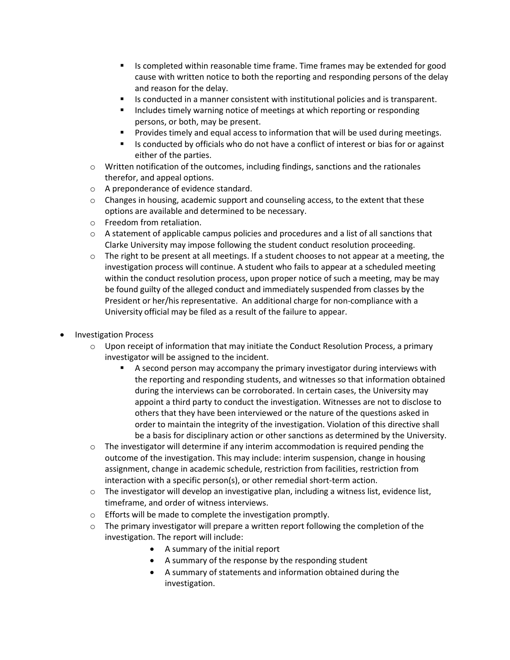- Is completed within reasonable time frame. Time frames may be extended for good cause with written notice to both the reporting and responding persons of the delay and reason for the delay.
- Is conducted in a manner consistent with institutional policies and is transparent.
- Includes timely warning notice of meetings at which reporting or responding persons, or both, may be present.
- Provides timely and equal access to information that will be used during meetings.
- Is conducted by officials who do not have a conflict of interest or bias for or against either of the parties.
- $\circ$  Written notification of the outcomes, including findings, sanctions and the rationales therefor, and appeal options.
- o A preponderance of evidence standard.
- $\circ$  Changes in housing, academic support and counseling access, to the extent that these options are available and determined to be necessary.
- o Freedom from retaliation.
- $\circ$  A statement of applicable campus policies and procedures and a list of all sanctions that Clarke University may impose following the student conduct resolution proceeding.
- $\circ$  The right to be present at all meetings. If a student chooses to not appear at a meeting, the investigation process will continue. A student who fails to appear at a scheduled meeting within the conduct resolution process, upon proper notice of such a meeting, may be may be found guilty of the alleged conduct and immediately suspended from classes by the President or her/his representative. An additional charge for non-compliance with a University official may be filed as a result of the failure to appear.
- Investigation Process
	- $\circ$  Upon receipt of information that may initiate the Conduct Resolution Process, a primary investigator will be assigned to the incident.
		- **E** A second person may accompany the primary investigator during interviews with the reporting and responding students, and witnesses so that information obtained during the interviews can be corroborated. In certain cases, the University may appoint a third party to conduct the investigation. Witnesses are not to disclose to others that they have been interviewed or the nature of the questions asked in order to maintain the integrity of the investigation. Violation of this directive shall be a basis for disciplinary action or other sanctions as determined by the University.
	- $\circ$  The investigator will determine if any interim accommodation is required pending the outcome of the investigation. This may include: interim suspension, change in housing assignment, change in academic schedule, restriction from facilities, restriction from interaction with a specific person(s), or other remedial short-term action.
	- $\circ$  The investigator will develop an investigative plan, including a witness list, evidence list, timeframe, and order of witness interviews.
	- o Efforts will be made to complete the investigation promptly.
	- $\circ$  The primary investigator will prepare a written report following the completion of the investigation. The report will include:
		- A summary of the initial report
		- A summary of the response by the responding student
		- A summary of statements and information obtained during the investigation.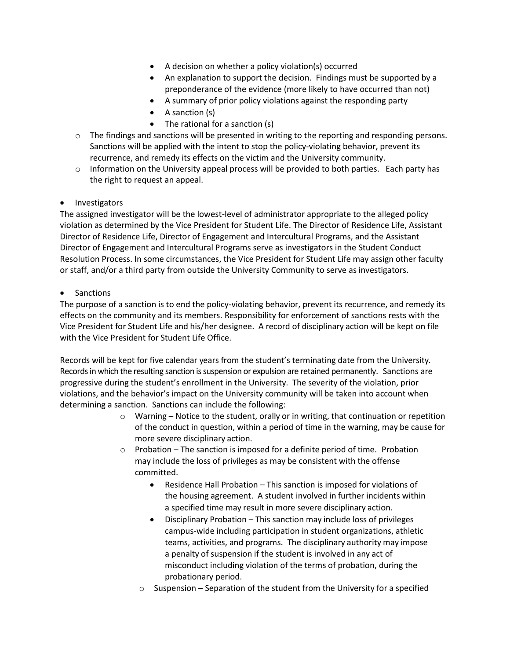- A decision on whether a policy violation(s) occurred
- An explanation to support the decision. Findings must be supported by a preponderance of the evidence (more likely to have occurred than not)
- A summary of prior policy violations against the responding party
- A sanction (s)
- The rational for a sanction (s)
- $\circ$  The findings and sanctions will be presented in writing to the reporting and responding persons. Sanctions will be applied with the intent to stop the policy-violating behavior, prevent its recurrence, and remedy its effects on the victim and the University community.
- $\circ$  Information on the University appeal process will be provided to both parties. Each party has the right to request an appeal.

## • Investigators

The assigned investigator will be the lowest-level of administrator appropriate to the alleged policy violation as determined by the Vice President for Student Life. The Director of Residence Life, Assistant Director of Residence Life, Director of Engagement and Intercultural Programs, and the Assistant Director of Engagement and Intercultural Programs serve as investigators in the Student Conduct Resolution Process. In some circumstances, the Vice President for Student Life may assign other faculty or staff, and/or a third party from outside the University Community to serve as investigators.

## • Sanctions

The purpose of a sanction is to end the policy-violating behavior, prevent its recurrence, and remedy its effects on the community and its members. Responsibility for enforcement of sanctions rests with the Vice President for Student Life and his/her designee. A record of disciplinary action will be kept on file with the Vice President for Student Life Office.

Records will be kept for five calendar years from the student's terminating date from the University. Records in which the resulting sanction is suspension or expulsion are retained permanently. Sanctions are progressive during the student's enrollment in the University. The severity of the violation, prior violations, and the behavior's impact on the University community will be taken into account when determining a sanction. Sanctions can include the following:

- $\circ$  Warning Notice to the student, orally or in writing, that continuation or repetition of the conduct in question, within a period of time in the warning, may be cause for more severe disciplinary action.
- o Probation The sanction is imposed for a definite period of time. Probation may include the loss of privileges as may be consistent with the offense committed.
	- Residence Hall Probation This sanction is imposed for violations of the housing agreement. A student involved in further incidents within a specified time may result in more severe disciplinary action.
	- Disciplinary Probation This sanction may include loss of privileges campus-wide including participation in student organizations, athletic teams, activities, and programs. The disciplinary authority may impose a penalty of suspension if the student is involved in any act of misconduct including violation of the terms of probation, during the probationary period.
	- $\circ$  Suspension Separation of the student from the University for a specified